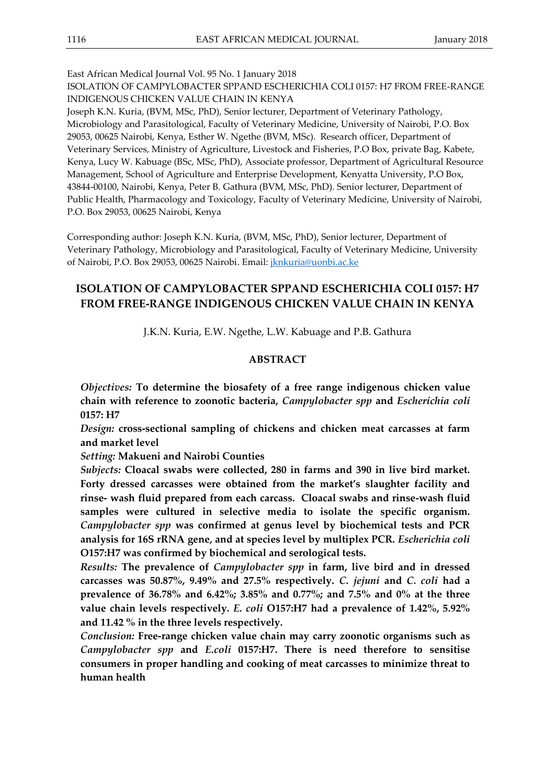East African Medical Journal Vol. 95 No. 1 January 2018

ISOLATION OF CAMPYLOBACTER SPPAND ESCHERICHIA COLI 0157: H7 FROM FREE-RANGE INDIGENOUS CHICKEN VALUE CHAIN IN KENYA

Joseph K.N. Kuria, (BVM, MSc, PhD), Senior lecturer, Department of Veterinary Pathology, Microbiology and Parasitological, Faculty of Veterinary Medicine, University of Nairobi, P.O. Box 29053, 00625 Nairobi, Kenya, Esther W. Ngethe (BVM, MSc). Research officer, Department of Veterinary Services, Ministry of Agriculture, Livestock and Fisheries, P.O Box, private Bag, Kabete, Kenya, Lucy W. Kabuage (BSc, MSc, PhD), Associate professor, Department of Agricultural Resource Management, School of Agriculture and Enterprise Development, Kenyatta University, P.O Box, 43844-00100, Nairobi, Kenya, Peter B. Gathura (BVM, MSc, PhD). Senior lecturer, Department of Public Health, Pharmacology and Toxicology, Faculty of Veterinary Medicine, University of Nairobi, P.O. Box 29053, 00625 Nairobi, Kenya

Corresponding author: Joseph K.N. Kuria, (BVM, MSc, PhD), Senior lecturer, Department of Veterinary Pathology, Microbiology and Parasitological, Faculty of Veterinary Medicine, University of Nairobi, P.O. Box 29053, 00625 Nairobi. Email: [jknkuria@uonbi.ac.ke](mailto:jknkuria@uonbi.ac.ke)

# **ISOLATION OF CAMPYLOBACTER SPPAND ESCHERICHIA COLI 0157: H7 FROM FREE-RANGE INDIGENOUS CHICKEN VALUE CHAIN IN KENYA**

J.K.N. Kuria, E.W. Ngethe, L.W. Kabuage and P.B. Gathura

# **ABSTRACT**

*Objectives:* **To determine the biosafety of a free range indigenous chicken value chain with reference to zoonotic bacteria,** *Campylobacter spp* **and** *Escherichia coli* **0157: H7**

*Design:* **cross-sectional sampling of chickens and chicken meat carcasses at farm and market level** 

*Setting:* **Makueni and Nairobi Counties** 

*Subjects:* **Cloacal swabs were collected, 280 in farms and 390 in live bird market. Forty dressed carcasses were obtained from the market's slaughter facility and rinse- wash fluid prepared from each carcass. Cloacal swabs and rinse-wash fluid samples were cultured in selective media to isolate the specific organism.**  *Campylobacter spp* **was confirmed at genus level by biochemical tests and PCR analysis for 16S rRNA gene, and at species level by multiplex PCR.** *Escherichia coli* **O157:H7 was confirmed by biochemical and serological tests.**

*Results:* **The prevalence of** *Campylobacter spp* **in farm, live bird and in dressed carcasses was 50.87%, 9.49% and 27.5% respectively.** *C. jejuni* **and** *C. coli* **had a prevalence of 36.78% and 6.42%; 3.85% and 0.77%; and 7.5% and 0% at the three value chain levels respectively.** *E. coli* **O157:H7 had a prevalence of 1.42%, 5.92% and 11.42 % in the three levels respectively.** 

*Conclusion:* **Free-range chicken value chain may carry zoonotic organisms such as**  *Campylobacter spp* **and** *E.coli* **0157:H7. There is need therefore to sensitise consumers in proper handling and cooking of meat carcasses to minimize threat to human health**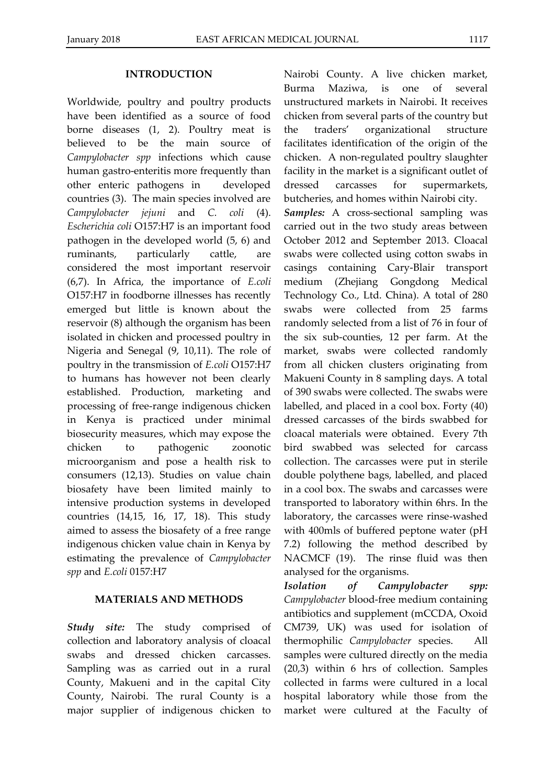#### **INTRODUCTION**

Worldwide, poultry and poultry products have been identified as a source of food borne diseases (1, 2). Poultry meat is believed to be the main source of *Campylobacter spp* infections which cause human gastro-enteritis more frequently than other enteric pathogens in developed countries (3). The main species involved are *Campylobacter jejuni* and *C. coli* (4). *Escherichia coli* O157:H7 is an important food pathogen in the developed world (5, 6) and ruminants, particularly cattle, are considered the most important reservoir (6,7). In Africa, the importance of *E.coli* O157:H7 in foodborne illnesses has recently emerged but little is known about the reservoir (8) although the organism has been isolated in chicken and processed poultry in Nigeria and Senegal (9, 10,11). The role of poultry in the transmission of *E.coli* O157:H7 to humans has however not been clearly established. Production, marketing and processing of free-range indigenous chicken in Kenya is practiced under minimal biosecurity measures, which may expose the chicken to pathogenic zoonotic microorganism and pose a health risk to consumers (12,13). Studies on value chain biosafety have been limited mainly to intensive production systems in developed countries (14,15, 16, 17, 18). This study aimed to assess the biosafety of a free range indigenous chicken value chain in Kenya by estimating the prevalence of *Campylobacter spp* and *E.coli* 0157:H7

# **MATERIALS AND METHODS**

*Study site:* The study comprised of collection and laboratory analysis of cloacal swabs and dressed chicken carcasses. Sampling was as carried out in a rural County, Makueni and in the capital City County, Nairobi. The rural County is a major supplier of indigenous chicken to

Nairobi County. A live chicken market, Burma Maziwa, is one of several unstructured markets in Nairobi. It receives chicken from several parts of the country but the traders' organizational structure facilitates identification of the origin of the chicken. A non-regulated poultry slaughter facility in the market is a significant outlet of dressed carcasses for supermarkets, butcheries, and homes within Nairobi city.

*Samples:* A cross-sectional sampling was carried out in the two study areas between October 2012 and September 2013. Cloacal swabs were collected using cotton swabs in casings containing Cary-Blair transport medium (Zhejiang Gongdong Medical Technology Co., Ltd. China). A total of 280 swabs were collected from 25 farms randomly selected from a list of 76 in four of the six sub-counties, 12 per farm. At the market, swabs were collected randomly from all chicken clusters originating from Makueni County in 8 sampling days. A total of 390 swabs were collected. The swabs were labelled, and placed in a cool box. Forty (40) dressed carcasses of the birds swabbed for cloacal materials were obtained. Every 7th bird swabbed was selected for carcass collection. The carcasses were put in sterile double polythene bags, labelled, and placed in a cool box. The swabs and carcasses were transported to laboratory within 6hrs. In the laboratory, the carcasses were rinse-washed with 400mls of buffered peptone water (pH 7.2) following the method described by NACMCF (19). The rinse fluid was then analysed for the organisms.

*Isolation of Campylobacter spp: Campylobacter* blood-free medium containing antibiotics and supplement (mCCDA, Oxoid CM739, UK) was used for isolation of thermophilic *Campylobacter* species. All samples were cultured directly on the media (20,3) within 6 hrs of collection. Samples collected in farms were cultured in a local hospital laboratory while those from the market were cultured at the Faculty of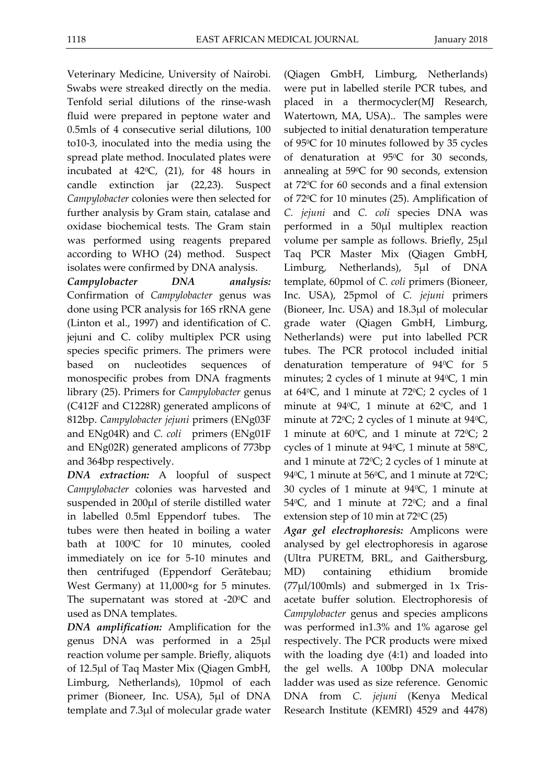Veterinary Medicine, University of Nairobi. Swabs were streaked directly on the media. Tenfold serial dilutions of the rinse-wash fluid were prepared in peptone water and 0.5mls of 4 consecutive serial dilutions, 100 to10-3, inoculated into the media using the spread plate method. Inoculated plates were incubated at  $42^{\circ}$ C, (21), for 48 hours in candle extinction jar (22,23). Suspect *Campylobacter* colonies were then selected for further analysis by Gram stain, catalase and oxidase biochemical tests. The Gram stain was performed using reagents prepared according to WHO (24) method. Suspect isolates were confirmed by DNA analysis.

*Campylobacter DNA analysis:* Confirmation of *Campylobacter* genus was done using PCR analysis for 16S rRNA gene (Linton et al., 1997) and identification of C. jejuni and C. coliby multiplex PCR using species specific primers. The primers were based on nucleotides sequences of monospecific probes from DNA fragments library (25). Primers for *Campylobacter* genus (C412F and C1228R) generated amplicons of 812bp. *Campylobacter jejuni* primers (ENg03F and ENg04R) and *C. coli* primers (ENg01F and ENg02R) generated amplicons of 773bp and 364bp respectively.

*DNA extraction:* A loopful of suspect *Campylobacter* colonies was harvested and suspended in 200µl of sterile distilled water in labelled 0.5ml Eppendorf tubes. The tubes were then heated in boiling a water bath at  $100^{\circ}$ C for 10 minutes, cooled immediately on ice for 5-10 minutes and then centrifuged (Eppendorf Gerãtebau; West Germany) at 11,000×g for 5 minutes. The supernatant was stored at  $-20^{\circ}$ C and used as DNA templates.

*DNA amplification:* Amplification for the genus DNA was performed in a 25µl reaction volume per sample. Briefly, aliquots of 12.5µl of Taq Master Mix (Qiagen GmbH, Limburg, Netherlands), 10pmol of each primer (Bioneer, Inc. USA), 5µl of DNA template and 7.3µl of molecular grade water

(Qiagen GmbH, Limburg, Netherlands) were put in labelled sterile PCR tubes, and placed in a thermocycler(MJ Research, Watertown, MA, USA).. The samples were subjected to initial denaturation temperature of 950C for 10 minutes followed by 35 cycles of denaturation at 95<sup>o</sup>C for 30 seconds, annealing at 59°C for 90 seconds, extension at 720C for 60 seconds and a final extension of 720C for 10 minutes (25). Amplification of *C. jejuni* and *C. coli* species DNA was performed in a 50µl multiplex reaction volume per sample as follows. Briefly, 25µl Taq PCR Master Mix (Qiagen GmbH, Limburg, Netherlands), 5µl of DNA template, 60pmol of *C. coli* primers (Bioneer, Inc. USA), 25pmol of *C. jejuni* primers (Bioneer, Inc. USA) and 18.3µl of molecular grade water (Qiagen GmbH, Limburg, Netherlands) were put into labelled PCR tubes. The PCR protocol included initial denaturation temperature of  $94^{\circ}$ C for 5 minutes; 2 cycles of 1 minute at  $94\degree C$ , 1 min at  $64^{\circ}$ C, and 1 minute at  $72^{\circ}$ C; 2 cycles of 1 minute at  $94^{\circ}$ C, 1 minute at  $62^{\circ}$ C, and 1 minute at  $72^{\circ}$ C; 2 cycles of 1 minute at  $94^{\circ}$ C, 1 minute at 60 $^{\circ}$ C, and 1 minute at 72 $^{\circ}$ C; 2 cycles of 1 minute at 94 $\degree$ C, 1 minute at 58 $\degree$ C, and 1 minute at  $72^{\circ}$ C; 2 cycles of 1 minute at 94 $\degree$ C, 1 minute at 56 $\degree$ C, and 1 minute at 72 $\degree$ C; 30 cycles of 1 minute at 940C, 1 minute at 54 $^{\circ}$ C, and 1 minute at 72 $^{\circ}$ C; and a final extension step of 10 min at  $72^{\circ}C(25)$ 

*Agar gel electrophoresis:* Amplicons were analysed by gel electrophoresis in agarose (Ultra PURETM, BRL, and Gaithersburg, MD) containing ethidium bromide (77µl/100mls) and submerged in 1x Trisacetate buffer solution. Electrophoresis of *Campylobacter* genus and species amplicons was performed in1.3% and 1% agarose gel respectively. The PCR products were mixed with the loading dye (4:1) and loaded into the gel wells. A 100bp DNA molecular ladder was used as size reference. Genomic DNA from *C. jejuni* (Kenya Medical Research Institute (KEMRI) 4529 and 4478)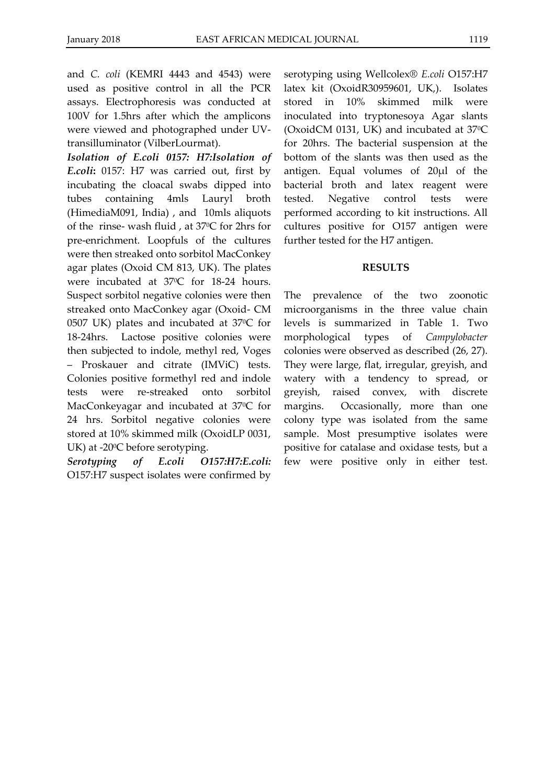and *C. coli* (KEMRI 4443 and 4543) were used as positive control in all the PCR assays. Electrophoresis was conducted at 100V for 1.5hrs after which the amplicons were viewed and photographed under UVtransilluminator (VilberLourmat).

*Isolation of E.coli 0157: H7:Isolation of E.coli***:** 0157: H7 was carried out, first by incubating the cloacal swabs dipped into tubes containing 4mls Lauryl broth (HimediaM091, India) , and 10mls aliquots of the rinse- wash fluid , at 370C for 2hrs for pre-enrichment. Loopfuls of the cultures were then streaked onto sorbitol MacConkey agar plates (Oxoid CM 813, UK). The plates were incubated at 37°C for 18-24 hours. Suspect sorbitol negative colonies were then streaked onto MacConkey agar (Oxoid- CM 0507 UK) plates and incubated at 37°C for 18-24hrs. Lactose positive colonies were then subjected to indole, methyl red, Voges – Proskauer and citrate (IMViC) tests. Colonies positive formethyl red and indole tests were re-streaked onto sorbitol MacConkeyagar and incubated at 37°C for 24 hrs. Sorbitol negative colonies were stored at 10% skimmed milk (OxoidLP 0031, UK) at -20<sup>o</sup>C before serotyping.

*Serotyping of E.coli O157:H7:E.coli:* O157:H7 suspect isolates were confirmed by

serotyping using Wellcolex® *E.coli* O157:H7 latex kit (OxoidR30959601, UK,). Isolates stored in 10% skimmed milk were inoculated into tryptonesoya Agar slants (OxoidCM 0131, UK) and incubated at 370C for 20hrs. The bacterial suspension at the bottom of the slants was then used as the antigen. Equal volumes of 20µl of the bacterial broth and latex reagent were tested. Negative control tests were performed according to kit instructions. All cultures positive for O157 antigen were further tested for the H7 antigen.

# **RESULTS**

The prevalence of the two zoonotic microorganisms in the three value chain levels is summarized in Table 1. Two morphological types of *Campylobacter* colonies were observed as described (26, 27). They were large, flat, irregular, greyish, and watery with a tendency to spread, or greyish, raised convex, with discrete margins. Occasionally, more than one colony type was isolated from the same sample. Most presumptive isolates were positive for catalase and oxidase tests, but a few were positive only in either test.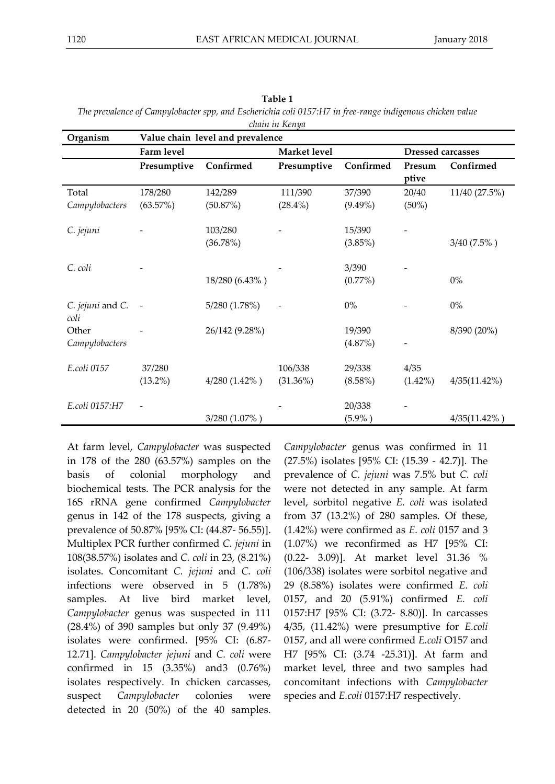| chain in Kenya           |                                  |                     |              |                      |                          |                 |
|--------------------------|----------------------------------|---------------------|--------------|----------------------|--------------------------|-----------------|
| Organism                 | Value chain level and prevalence |                     |              |                      |                          |                 |
|                          | Farm level                       |                     | Market level |                      | <b>Dressed carcasses</b> |                 |
|                          | Presumptive                      | Confirmed           | Presumptive  | Confirmed            | Presum<br>ptive          | Confirmed       |
| Total                    | 178/280                          | 142/289             | 111/390      | 37/390               | 20/40                    | 11/40 (27.5%)   |
| Campylobacters           | (63.57%)                         | (50.87%)            | $(28.4\%)$   | $(9.49\%)$           | $(50\%)$                 |                 |
| C. jejuni                |                                  | 103/280<br>(36.78%) |              | 15/390<br>$(3.85\%)$ |                          | $3/40(7.5\%)$   |
| C. coli                  |                                  |                     |              | 3/390                |                          |                 |
|                          |                                  | 18/280 (6.43%)      |              | $(0.77\%)$           |                          | $0\%$           |
| C. jejuni and C.<br>coli |                                  | 5/280 (1.78%)       |              | $0\%$                |                          | $0\%$           |
| Other                    |                                  | 26/142 (9.28%)      |              | 19/390               |                          | 8/390 (20%)     |
| Campylobacters           |                                  |                     |              | (4.87%)              |                          |                 |
| E.coli 0157              | 37/280                           |                     | 106/338      | 29/338               | 4/35                     |                 |
|                          | $(13.2\%)$                       | $4/280$ $(1.42\%)$  | (31.36%)     | $(8.58\%)$           | $(1.42\%)$               | 4/35(11.42%)    |
| E.coli 0157:H7           |                                  |                     |              | 20/338               |                          |                 |
|                          |                                  | 3/280 (1.07%)       |              | $(5.9\%)$            |                          | $4/35(11.42\%)$ |

| Table 1                                                                                                  |
|----------------------------------------------------------------------------------------------------------|
| The prevalence of Campylobacter spp, and Escherichia coli 0157:H7 in free-range indigenous chicken value |
| chain in Konua                                                                                           |

At farm level, *Campylobacter* was suspected in 178 of the 280 (63.57%) samples on the basis of colonial morphology and biochemical tests. The PCR analysis for the 16S rRNA gene confirmed *Campylobacter* genus in 142 of the 178 suspects, giving a prevalence of 50.87% [95% CI: (44.87- 56.55)]. Multiplex PCR further confirmed *C. jejuni* in 108(38.57%) isolates and *C. coli* in 23, (8.21%) isolates. Concomitant *C. jejuni* and *C. coli* infections were observed in 5 (1.78%) samples. At live bird market level, *Campylobacter* genus was suspected in 111 (28.4%) of 390 samples but only 37 (9.49%) isolates were confirmed. [95% CI: (6.87- 12.71]. *Campylobacter jejuni* and *C. coli* were confirmed in 15 (3.35%) and3 (0.76%) isolates respectively. In chicken carcasses, suspect *Campylobacter* colonies were detected in 20 (50%) of the 40 samples.

*Campylobacter* genus was confirmed in 11 (27.5%) isolates [95% CI: (15.39 - 42.7)]. The prevalence of *C. jejuni* was 7.5% but *C. coli* were not detected in any sample. At farm level, sorbitol negative *E. coli* was isolated from 37 (13.2%) of 280 samples. Of these, (1.42%) were confirmed as *E. coli* 0157 and 3 (1.07%) we reconfirmed as H7 [95% CI: (0.22- 3.09)]. At market level 31.36 % (106/338) isolates were sorbitol negative and 29 (8.58%) isolates were confirmed *E. coli* 0157, and 20 (5.91%) confirmed *E. coli* 0157:H7 [95% CI: (3.72- 8.80)]. In carcasses 4/35, (11.42%) were presumptive for *E.coli* 0157, and all were confirmed *E.coli* O157 and H7 [95% CI: (3.74 -25.31)]. At farm and market level, three and two samples had concomitant infections with *Campylobacter* species and *E.coli* 0157:H7 respectively.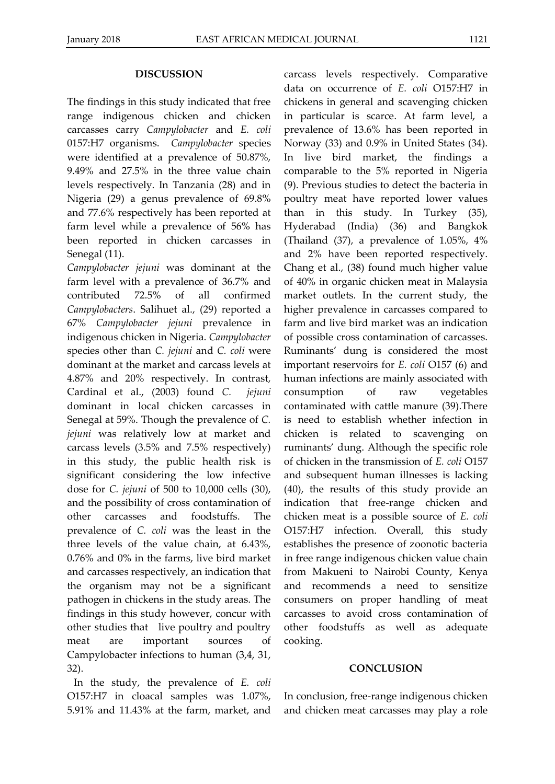#### **DISCUSSION**

The findings in this study indicated that free range indigenous chicken and chicken carcasses carry *Campylobacter* and *E. coli* 0157:H7 organisms. *Campylobacter* species were identified at a prevalence of 50.87%, 9.49% and 27.5% in the three value chain levels respectively. In Tanzania (28) and in Nigeria (29) a genus prevalence of 69.8% and 77.6% respectively has been reported at farm level while a prevalence of 56% has been reported in chicken carcasses in Senegal (11).

*Campylobacter jejuni* was dominant at the farm level with a prevalence of 36.7% and contributed 72.5% of all confirmed *Campylobacters*. Salihuet al., (29) reported a 67% *Campylobacter jejuni* prevalence in indigenous chicken in Nigeria. *Campylobacter* species other than *C. jejuni* and *C. coli* were dominant at the market and carcass levels at 4.87% and 20% respectively. In contrast, Cardinal et al., (2003) found *C. jejuni* dominant in local chicken carcasses in Senegal at 59%. Though the prevalence of *C. jejuni* was relatively low at market and carcass levels (3.5% and 7.5% respectively) in this study, the public health risk is significant considering the low infective dose for *C. jejuni* of 500 to 10,000 cells (30), and the possibility of cross contamination of other carcasses and foodstuffs. The prevalence of *C. coli* was the least in the three levels of the value chain, at 6.43%, 0.76% and 0% in the farms, live bird market and carcasses respectively, an indication that the organism may not be a significant pathogen in chickens in the study areas. The findings in this study however, concur with other studies that live poultry and poultry meat are important sources of Campylobacter infections to human (3,4, 31, 32).

In the study, the prevalence of *E. coli* O157:H7 in cloacal samples was 1.07%, 5.91% and 11.43% at the farm, market, and carcass levels respectively. Comparative data on occurrence of *E. coli* O157:H7 in chickens in general and scavenging chicken in particular is scarce. At farm level, a prevalence of 13.6% has been reported in Norway (33) and 0.9% in United States (34). In live bird market, the findings a comparable to the 5% reported in Nigeria (9). Previous studies to detect the bacteria in poultry meat have reported lower values than in this study. In Turkey (35), Hyderabad (India) (36) and Bangkok (Thailand (37), a prevalence of 1.05%, 4% and 2% have been reported respectively. Chang et al., (38) found much higher value of 40% in organic chicken meat in Malaysia market outlets. In the current study, the higher prevalence in carcasses compared to farm and live bird market was an indication of possible cross contamination of carcasses. Ruminants' dung is considered the most important reservoirs for *E. coli* O157 (6) and human infections are mainly associated with consumption of raw vegetables contaminated with cattle manure (39).There is need to establish whether infection in chicken is related to scavenging on ruminants' dung. Although the specific role of chicken in the transmission of *E. coli* O157 and subsequent human illnesses is lacking (40), the results of this study provide an indication that free-range chicken and chicken meat is a possible source of *E. coli* O157:H7 infection. Overall, this study establishes the presence of zoonotic bacteria in free range indigenous chicken value chain from Makueni to Nairobi County, Kenya and recommends a need to sensitize consumers on proper handling of meat carcasses to avoid cross contamination of other foodstuffs as well as adequate cooking.

### **CONCLUSION**

In conclusion, free-range indigenous chicken and chicken meat carcasses may play a role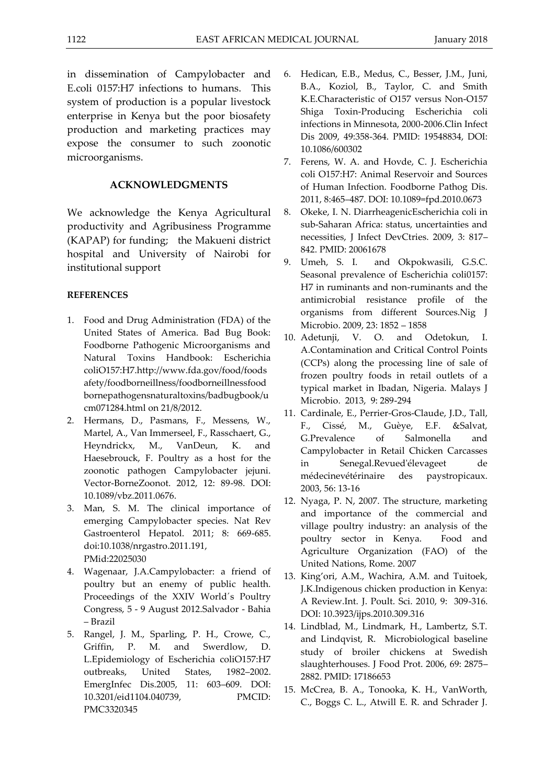in dissemination of Campylobacter and E.coli 0157:H7 infections to humans. This system of production is a popular livestock

enterprise in Kenya but the poor biosafety production and marketing practices may expose the consumer to such zoonotic microorganisms.

#### **ACKNOWLEDGMENTS**

We acknowledge the Kenya Agricultural productivity and Agribusiness Programme (KAPAP) for funding; the Makueni district hospital and University of Nairobi for institutional support

### **REFERENCES**

- 1. Food and Drug Administration (FDA) of the United States of America. Bad Bug Book: Foodborne Pathogenic Microorganisms and Natural Toxins Handbook: Escherichia coliO157:H7.http://www.fda.gov/food/foods afety/foodborneillness/foodborneillnessfood bornepathogensnaturaltoxins/badbugbook/u cm071284.html on 21/8/2012.
- 2. Hermans, D., Pasmans, F., Messens, W., Martel, A., Van Immerseel, F., Rasschaert, G., Heyndrickx, M., VanDeun, K. and Haesebrouck, F. Poultry as a host for the zoonotic pathogen Campylobacter jejuni. Vector-BorneZoonot. 2012, 12: 89-98. DOI: 10.1089/vbz.2011.0676.
- 3. Man, S. M. The clinical importance of emerging Campylobacter species. Nat Rev Gastroenterol Hepatol. 2011; 8: 669-685. doi:10.1038/nrgastro.2011.191, PMid:22025030
- 4. Wagenaar, J.A.Campylobacter: a friend of poultry but an enemy of public health. Proceedings of the XXIV World´s Poultry Congress, 5 - 9 August 2012.Salvador - Bahia – Brazil
- 5. Rangel, J. M., Sparling, P. H., Crowe, C., Griffin, P. M. and Swerdlow, D. L.Epidemiology of Escherichia coliO157:H7 outbreaks, United States, 1982–2002. EmergInfec Dis.2005, 11: 603–609. DOI: 10.3201/eid1104.040739, PMCID: PMC3320345
- 6. Hedican, E.B., Medus, C., Besser, J.M., Juni, B.A., Koziol, B., Taylor, C. and Smith K.E.Characteristic of O157 versus Non-O157 Shiga Toxin-Producing Escherichia coli infections in Minnesota, 2000-2006.Clin Infect Dis 2009, 49:358-364. PMID: 19548834, DOI: 10.1086/600302
- 7. Ferens, W. A. and Hovde, C. J. Escherichia coli O157:H7: Animal Reservoir and Sources of Human Infection. Foodborne Pathog Dis. 2011, 8:465–487. DOI: 10.1089=fpd.2010.0673
- 8. Okeke, I. N. DiarrheagenicEscherichia coli in sub-Saharan Africa: status, uncertainties and necessities, J Infect DevCtries. 2009, 3: 817– 842. PMID: 20061678
- 9. Umeh, S. I. and Okpokwasili, G.S.C. Seasonal prevalence of Escherichia coli0157: H7 in ruminants and non-ruminants and the antimicrobial resistance profile of the organisms from different Sources.Nig J Microbio. 2009, 23: 1852 – 1858
- 10. Adetunji, V. O. and Odetokun, I. A.Contamination and Critical Control Points (CCPs) along the processing line of sale of frozen poultry foods in retail outlets of a typical market in Ibadan, Nigeria. Malays J Microbio. 2013, 9: 289-294
- 11. Cardinale, E., Perrier-Gros-Claude, J.D., Tall, F., Cissé, M., Guèye, E.F. &Salvat, G.Prevalence of Salmonella and Campylobacter in Retail Chicken Carcasses in Senegal.Revued'élevageet de médecinevétérinaire des paystropicaux. 2003, 56: 13-16
- 12. Nyaga, P. N, 2007. The structure, marketing and importance of the commercial and village poultry industry: an analysis of the poultry sector in Kenya. Food and Agriculture Organization (FAO) of the United Nations, Rome. 2007
- 13. King'ori, A.M., Wachira, A.M. and Tuitoek, J.K.Indigenous chicken production in Kenya: A Review.Int. J. Poult. Sci. 2010, 9: 309-316. DOI: 10.3923/ijps.2010.309.316
- 14. Lindblad, M., Lindmark, H., Lambertz, S.T. and Lindqvist, R. Microbiological baseline study of broiler chickens at Swedish slaughterhouses. J Food Prot. 2006, 69: 2875– 2882. PMID: 17186653
- 15. McCrea, B. A., Tonooka, K. H., VanWorth, C., Boggs C. L., Atwill E. R. and Schrader J.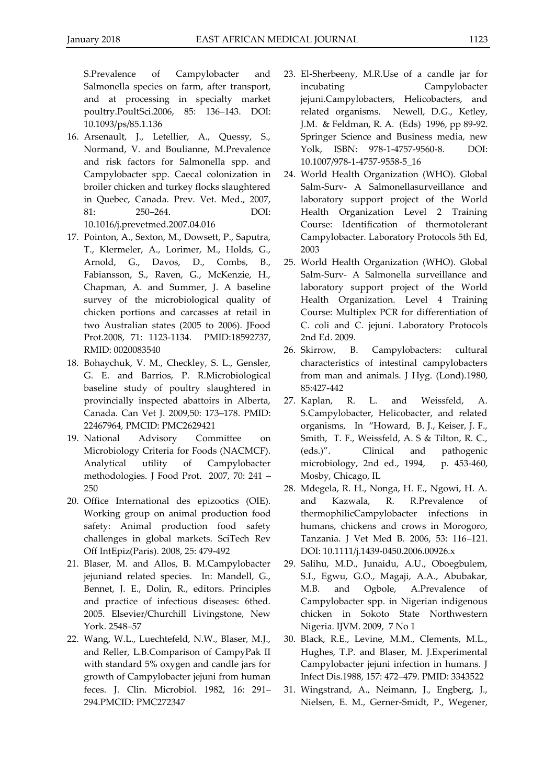S.Prevalence of Campylobacter and Salmonella species on farm, after transport, and at processing in specialty market poultry.PoultSci.2006, 85: 136–143. DOI: 10.1093/ps/85.1.136

16. Arsenault, J., Letellier, A., Quessy, S., Normand, V. and Boulianne, M.Prevalence and risk factors for Salmonella spp. and Campylobacter spp. Caecal colonization in broiler chicken and turkey flocks slaughtered in Quebec, Canada. Prev. Vet. Med., 2007, 81: 250–264. DOI: 10.1016/j.prevetmed.2007.04.016

17. Pointon, A., Sexton, M., Dowsett, P., Saputra, T., Klermeler, A., Lorimer, M., Holds, G., Arnold, G., Davos, D., Combs, B., Fabiansson, S., Raven, G., McKenzie, H., Chapman, A. and Summer, J. A baseline survey of the microbiological quality of chicken portions and carcasses at retail in two Australian states (2005 to 2006). JFood Prot.2008, 71: 1123-1134. PMID:18592737, RMID: 0020083540

- 18. Bohaychuk, V. M., Checkley, S. L., Gensler, G. E. and Barrios, P. R.Microbiological baseline study of poultry slaughtered in provincially inspected abattoirs in Alberta, Canada. Can Vet J. 2009,50: 173–178. PMID: 22467964, PMCID: PMC2629421
- 19. National Advisory Committee on Microbiology Criteria for Foods (NACMCF). Analytical utility of Campylobacter methodologies. J Food Prot. 2007, 70: 241 – 250
- 20. Office International des epizootics (OIE). Working group on animal production food safety: Animal production food safety challenges in global markets. SciTech Rev Off IntEpiz(Paris). 2008, 25: 479-492
- 21. Blaser, M. and Allos, B. M.Campylobacter jejuniand related species. In: Mandell, G., Bennet, J. E., Dolin, R., editors. Principles and practice of infectious diseases: 6thed. 2005. Elsevier/Churchill Livingstone, New York. 2548–57
- 22. Wang, W.L., Luechtefeld, N.W., Blaser, M.J., and Reller, L.B.Comparison of CampyPak II with standard 5% oxygen and candle jars for growth of Campylobacter jejuni from human feces. J. Clin. Microbiol. 1982, 16: 291– 294.PMCID: PMC272347
- 23. El-Sherbeeny, M.R.Use of a candle jar for incubating Campylobacter jejuni.Campylobacters, Helicobacters, and related organisms. Newell, D.G., Ketley, J.M. & Feldman, R. A. (Eds) 1996, pp 89-92. Springer Science and Business media, new Yolk, ISBN: 978-1-4757-9560-8. DOI: 10.1007/978-1-4757-9558-5\_16
- 24. World Health Organization (WHO). Global Salm-Surv- A Salmonellasurveillance and laboratory support project of the World Health Organization Level 2 Training Course: Identification of thermotolerant Campylobacter. Laboratory Protocols 5th Ed, 2003
- 25. World Health Organization (WHO). Global Salm-Surv- A Salmonella surveillance and laboratory support project of the World Health Organization. Level 4 Training Course: Multiplex PCR for differentiation of C. coli and C. jejuni. Laboratory Protocols 2nd Ed. 2009.
- 26. Skirrow, B. Campylobacters: cultural characteristics of intestinal campylobacters from man and animals. J Hyg. (Lond).1980, 85:427-442
- 27. Kaplan, R. L. and Weissfeld, A. S.Campylobacter, Helicobacter, and related organisms, In "Howard, B. J., Keiser, J. F., Smith, T. F., Weissfeld, A. S & Tilton, R. C., (eds.)". Clinical and pathogenic microbiology, 2nd ed., 1994, p. 453-460, Mosby, Chicago, IL
- 28. Mdegela, R. H., Nonga, H. E., Ngowi, H. A. and Kazwala, R. R.Prevalence of thermophilicCampylobacter infections in humans, chickens and crows in Morogoro, Tanzania. J Vet Med B. 2006, 53: 116–121. DOI: 10.1111/j.1439-0450.2006.00926.x
- 29. Salihu, M.D., Junaidu, A.U., Oboegbulem, S.I., Egwu, G.O., Magaji, A.A., Abubakar, M.B. and Ogbole, A.Prevalence of Campylobacter spp. in Nigerian indigenous chicken in Sokoto State Northwestern Nigeria. IJVM. 2009, 7 No 1
- 30. Black, R.E., Levine, M.M., Clements, M.L., Hughes, T.P. and Blaser, M. J.Experimental Campylobacter jejuni infection in humans. J Infect Dis.1988, 157: 472–479. PMID: 3343522
- 31. Wingstrand, A., Neimann, J., Engberg, J., Nielsen, E. M., Gerner-Smidt, P., Wegener,